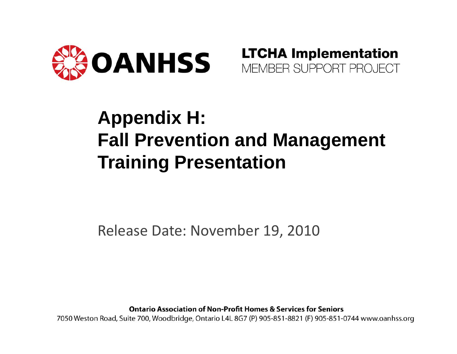



### **Appendix H: Fall Prevention and Management Training Presentation**

Release Date: November 19, 2010

**Ontario Association of Non-Profit Homes & Services for Seniors** 

7050 Weston Road, Suite 700, Woodbridge, Ontario L4L 8G7 (P) 905-851-8821 (F) 905-851-0744 www.oanhss.org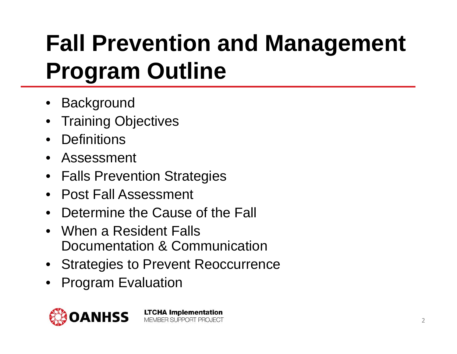### **Fall Prevention and Management Program Outline**

- •**Background**
- •Training Objectives
- •**Definitions**
- •Assessment
- Falls Prevention Strategies
- Post Fall Assessment
- •Determine the Cause of the Fall
- When a Resident FallsDocumentation & Communication
- Strategies to Prevent Reoccurrence
- •Program Evaluation

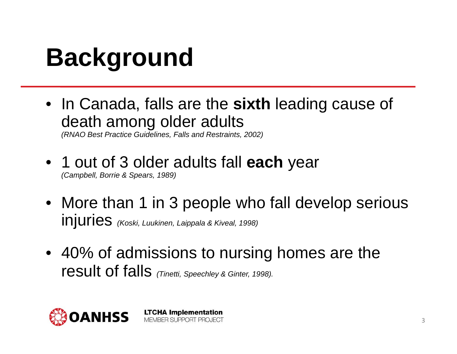### **Background**

• In Canada, falls are the **sixth** leading cause of death among older adults

*(RNAO Best Practice Guidelines, Falls and Restraints, 2002)*

• 1 out of 3 older adults fall **each** year *(Campbell, Borrie & Spears, 1989)*

- More than 1 in 3 people who fall develop serious injuries *(Koski, Luukinen, Laippala & Kiveal, 1998)*
- 40% of admissions to nursing homes are the result of falls *(Tinetti, Speechley & Ginter, 1998).*

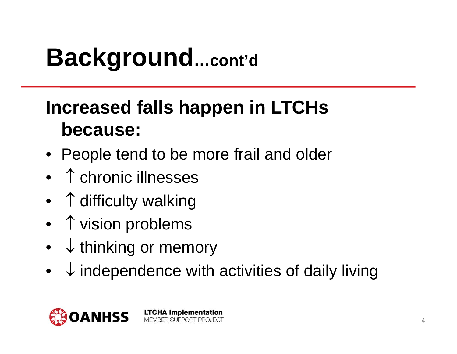### **Background…cont'd**

### **Increased falls happen in LTCHs because:**

- People tend to be more frail and older
- ↑ chronic illnesses
- ↑ difficulty walking
- ↑ vision problems
- •↓ thinking or memory
- • $\downarrow$  independence with activities of daily living

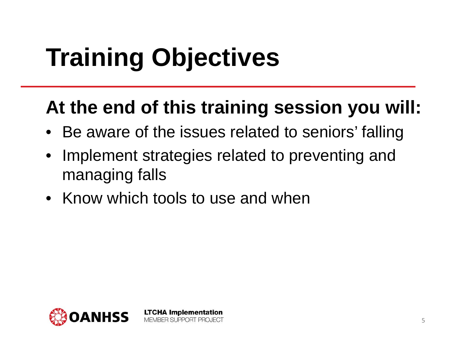# **Training Objectives**

#### **At the end of this training session you will:**

- •Be aware of the issues related to seniors' falling
- • Implement strategies related to preventing and managing falls
- Know which tools to use and when

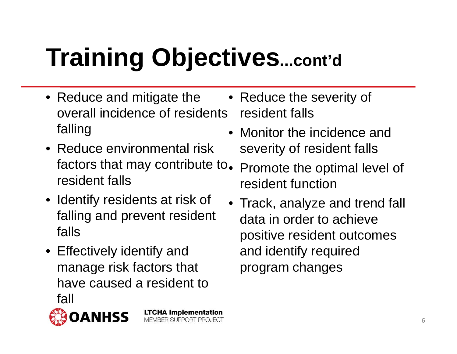# **Training Objectives...cont'd**

**LTCHA Implementation MEMBER SUPPORT PROJECT** 

- Reduce and mitigate the overall incidence of residents falling
- Reduce environmental risk factors that may contribute to. resident falls
- Identify residents at risk of falling and prevent resident falls
- Effectively identify and manage risk factors that have caused a resident to fall
- 

• Reduce the severity of resident falls

- Monitor the incidence and severity of resident falls
- Promote the optimal level of resident function
- Track, analyze and trend fall data in order to achieve positive resident outcomes and identify required program changes

6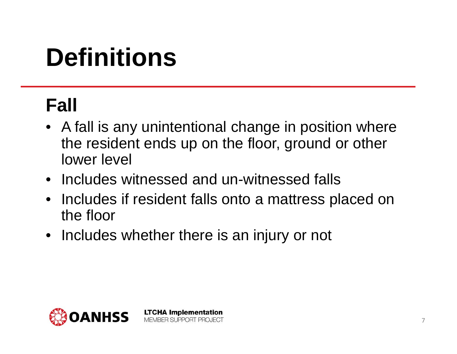### **Definitions**

### **Fall**

- A fall is any unintentional change in position where the resident ends up on the floor, ground or other lower level
- Includes witnessed and un-witnessed falls
- Includes if resident falls onto a mattress placed on the floor
- Includes whether there is an injury or not

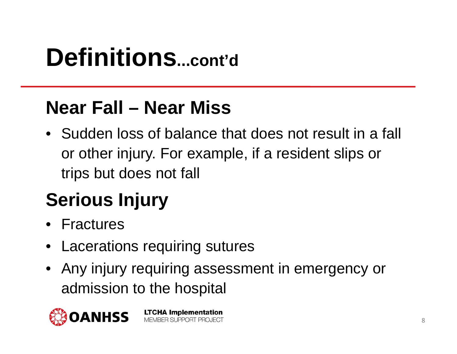### **Definitions...cont'd**

#### **Near Fall – Near Miss**

• Sudden loss of balance that does not result in a fall or other injury. For example, if a resident slips or trips but does not fall

### **Serious Injury**

- Fractures
- Lacerations requiring sutures
- Any injury requiring assessment in emergency or admission to the hospital

**LTCHA Implementation** 

MEMBER SUPPORT PROJECT

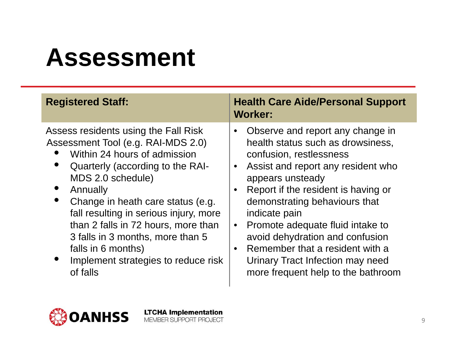### **Assessment**

| <b>Registered Staff:</b>                                                                                                                                                                                                                                                                                                                                                                                           | <b>Health Care Aide/Personal Support</b><br><b>Worker:</b>                                                                                                                                                                                                                                                                                                                                                                                           |
|--------------------------------------------------------------------------------------------------------------------------------------------------------------------------------------------------------------------------------------------------------------------------------------------------------------------------------------------------------------------------------------------------------------------|------------------------------------------------------------------------------------------------------------------------------------------------------------------------------------------------------------------------------------------------------------------------------------------------------------------------------------------------------------------------------------------------------------------------------------------------------|
| Assess residents using the Fall Risk<br>Assessment Tool (e.g. RAI-MDS 2.0)<br>Within 24 hours of admission<br>Quarterly (according to the RAI-<br>MDS 2.0 schedule)<br>Annually<br>Change in heath care status (e.g.<br>fall resulting in serious injury, more<br>than 2 falls in 72 hours, more than<br>3 falls in 3 months, more than 5<br>falls in 6 months)<br>Implement strategies to reduce risk<br>of falls | Observe and report any change in<br>health status such as drowsiness,<br>confusion, restlessness<br>Assist and report any resident who<br>appears unsteady<br>Report if the resident is having or<br>demonstrating behaviours that<br>indicate pain<br>Promote adequate fluid intake to<br>$\bullet$<br>avoid dehydration and confusion<br>Remember that a resident with a<br>Urinary Tract Infection may need<br>more frequent help to the bathroom |

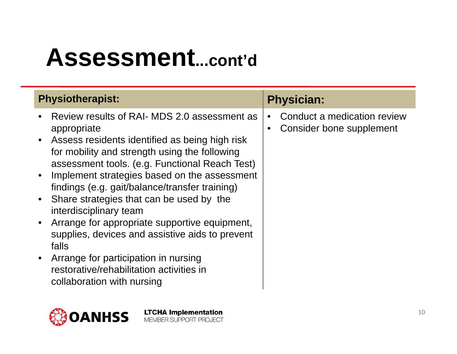### **Assessment...cont'd**

| <b>Physiotherapist:</b>                                                                                                                                                                                               | <b>Physician:</b>                                                                 |
|-----------------------------------------------------------------------------------------------------------------------------------------------------------------------------------------------------------------------|-----------------------------------------------------------------------------------|
| Review results of RAI- MDS 2.0 assessment as<br>appropriate<br>Assess residents identified as being high risk<br>for mobility and strength using the following<br>assessment tools. (e.g. Functional Reach Test)      | Conduct a medication review<br>$\bullet$<br>Consider bone supplement<br>$\bullet$ |
| Implement strategies based on the assessment<br>findings (e.g. gait/balance/transfer training)<br>Share strategies that can be used by the<br>interdisciplinary team<br>Arrange for appropriate supportive equipment, |                                                                                   |
| supplies, devices and assistive aids to prevent<br>falls<br>Arrange for participation in nursing<br>restorative/rehabilitation activities in<br>collaboration with nursing                                            |                                                                                   |

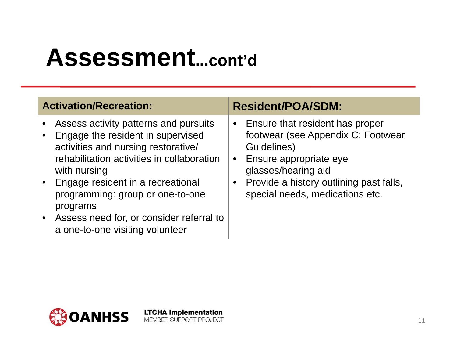### **Assessment...cont'd**

| <b>Activation/Recreation:</b> |
|-------------------------------|
|-------------------------------|

- •Assess activity patterns and pursuits
- • Engage the resident in supervised activities and nursing restorative/ rehabilitation activities in collaboration with nursing
- • Engage resident in a recreational programming: group or one-to-one programs
- • Assess need for, or consider referral to a one-to-one visiting volunteer

**LTCHA Implementation** MEMBER SUPPORT PROJECT

#### **Resident/POA/SDM:**

- $\bullet$  Ensure that resident has proper footwear (see Appendix C: Footwear Guidelines)
- $\bullet$  Ensure appropriate eye glasses/hearing aid
- $\bullet$  Provide a history outlining past falls, special needs, medications etc.

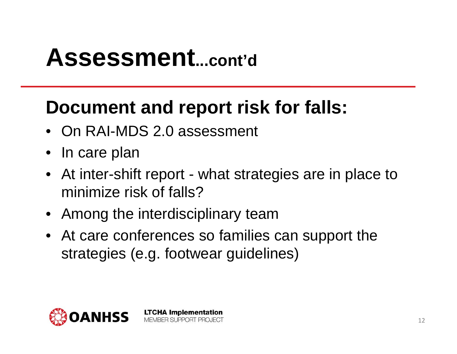### **Assessment...cont'd**

#### **Document and report risk for falls:**

- On RAI-MDS 2.0 assessment
- In care plan
- At inter-shift report what strategies are in place to minimize risk of falls?
- Among the interdisciplinary team

**LTCHA Implementation** MEMBER SUPPORT PROJECT

• At care conferences so families can support the strategies (e.g. footwear guidelines)

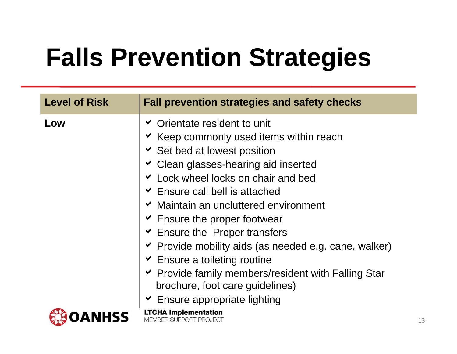# **Falls Prevention Strategies**

| <b>Level of Risk</b> | <b>Fall prevention strategies and safety checks</b>                                                                                                                                                                                                                                                                                                                                                                                                                                                                                                                                                                            |
|----------------------|--------------------------------------------------------------------------------------------------------------------------------------------------------------------------------------------------------------------------------------------------------------------------------------------------------------------------------------------------------------------------------------------------------------------------------------------------------------------------------------------------------------------------------------------------------------------------------------------------------------------------------|
| Low                  | <b>► Orientate resident to unit</b><br>► Keep commonly used items within reach<br><b>v</b> Set bed at lowest position<br>Clean glasses-hearing aid inserted<br>Lock wheel locks on chair and bed<br>$\leq$ Ensure call bell is attached<br>► Maintain an uncluttered environment<br>$\overline{\phantom{a}}$ Ensure the proper footwear<br>$\triangleright$ Ensure the Proper transfers<br>Provide mobility aids (as needed e.g. cane, walker)<br>$\overline{\phantom{a}}$ Ensure a toileting routine<br>► Provide family members/resident with Falling Star<br>brochure, foot care guidelines)<br>Ensure appropriate lighting |
|                      | <b>LTCHA Implementation</b><br><b>MEMBER SUPPORT PROJECT</b>                                                                                                                                                                                                                                                                                                                                                                                                                                                                                                                                                                   |

13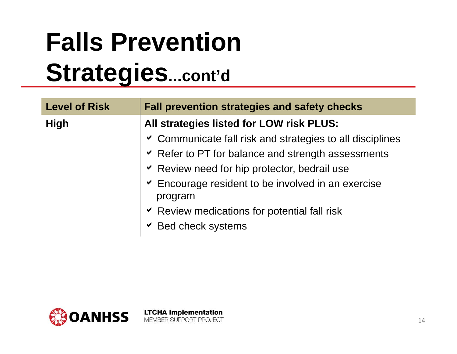### **Falls Prevention Strategies...cont'd**

| <b>Level of Risk</b> | <b>Fall prevention strategies and safety checks</b>              |  |
|----------------------|------------------------------------------------------------------|--|
| <b>High</b>          | All strategies listed for LOW risk PLUS:                         |  |
|                      | <b>► Communicate fall risk and strategies to all disciplines</b> |  |
|                      | ► Refer to PT for balance and strength assessments               |  |
|                      | ► Review need for hip protector, bedrail use                     |  |
|                      | Encourage resident to be involved in an exercise<br>program      |  |
|                      | ► Review medications for potential fall risk                     |  |
|                      | $\vee$ Bed check systems                                         |  |

**LTCHA Implementation** 

MEMBER SUPPORT PROJECT

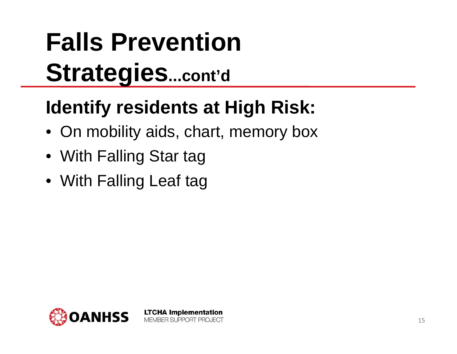### **Falls Prevention Strategies...cont'd**

### **Identify residents at High Risk:**

• On mobility aids, chart, memory box

- With Falling Star tag
- With Falling Leaf tag

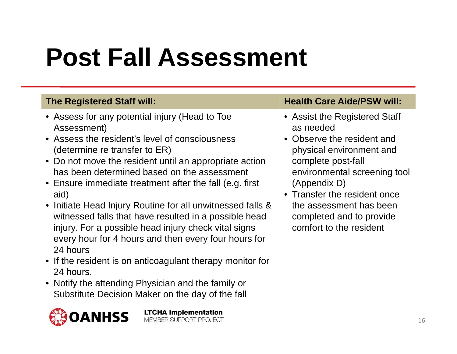### **Post Fall Assessment**

- Assess for any potential injury (Head to Toe Assessment)
- Assess the resident's level of consciousness (determine re transfer to ER)
- Do not move the resident until an appropriate action has been determined based on the assessment
- Ensure immediate treatment after the fall (e.g. first aid)
- Initiate Head Injury Routine for all unwitnessed falls & witnessed falls that have resulted in a possible head injury. For a possible head injury check vital signs every hour for 4 hours and then every four hours for 24 hours
- If the resident is on anticoagulant therapy monitor for 24 hours.
- Notify the attending Physician and the family or Substitute Decision Maker on the day of the fall



**LTCHA Implementation** MEMBER SUPPORT PROJECT

#### The Registered Staff will: **Health Care Aide/PSW will: Health Care Aide/PSW will:**

- Assist the Registered Staff as needed
- Observe the resident and physical environment and complete post-fall environmental screening tool (Appendix D)
- Transfer the resident once the assessment has been completed and to provide comfort to the resident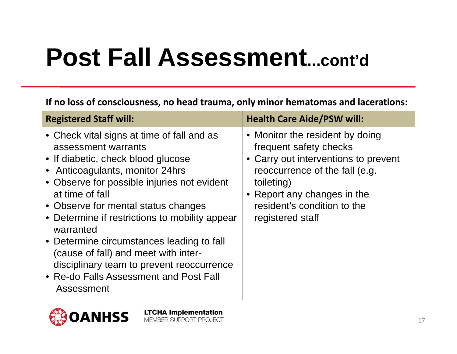### **Post Fall Assessment...cont'd**

**If no loss of consciousness, no head trauma, only minor hematomas and lacerations:**

| <b>Registered Staff will:</b>                                                                                                                                                                                                                                                                                                                                                                                                                                                                                | <b>Health Care Aide/PSW will:</b>                                                                                                                                                                                                   |
|--------------------------------------------------------------------------------------------------------------------------------------------------------------------------------------------------------------------------------------------------------------------------------------------------------------------------------------------------------------------------------------------------------------------------------------------------------------------------------------------------------------|-------------------------------------------------------------------------------------------------------------------------------------------------------------------------------------------------------------------------------------|
| • Check vital signs at time of fall and as<br>assessment warrants<br>• If diabetic, check blood glucose<br>• Anticoagulants, monitor 24hrs<br>• Observe for possible injuries not evident<br>at time of fall<br>• Observe for mental status changes<br>• Determine if restrictions to mobility appear<br>warranted<br>• Determine circumstances leading to fall<br>(cause of fall) and meet with inter-<br>disciplinary team to prevent reoccurrence<br>• Re-do Falls Assessment and Post Fall<br>Assessment | • Monitor the resident by doing<br>frequent safety checks<br>• Carry out interventions to prevent<br>reoccurrence of the fall (e.g.<br>toileting)<br>• Report any changes in the<br>resident's condition to the<br>registered staff |
|                                                                                                                                                                                                                                                                                                                                                                                                                                                                                                              |                                                                                                                                                                                                                                     |

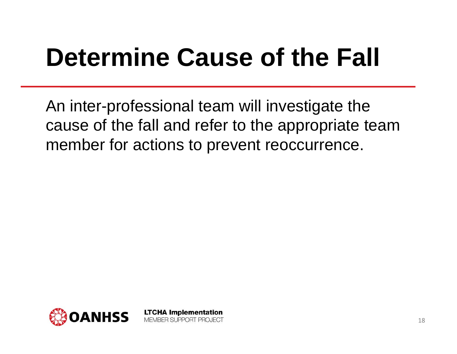### **Determine Cause of the Fall**

An inter-professional team will investigate the cause of the fall and refer to the appropriate team member for actions to prevent reoccurrence.

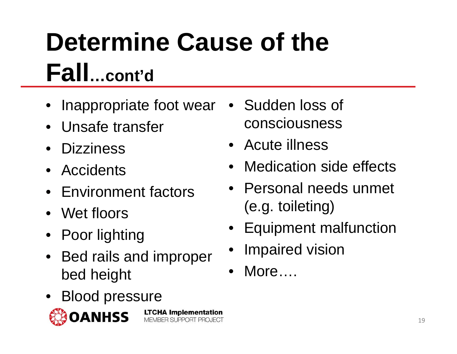# **Determine Cause of the Fall…cont'd**

MEMBER SUPPORT PROJECT

- •Inappropriate foot wear
- Unsafe transfer
- Dizziness
- Accidents
- Environment factors
- Wet floors
- Poor lighting
- Bed rails and improper bed height
- Blood pressure •**LTCHA Implementation**



• Sudden loss of consciousness

- Acute illness
- •Medication side effects
- Personal needs unmet (e.g. toileting)
- Equipment malfunction
- •Impaired vision
- $\bullet$ More….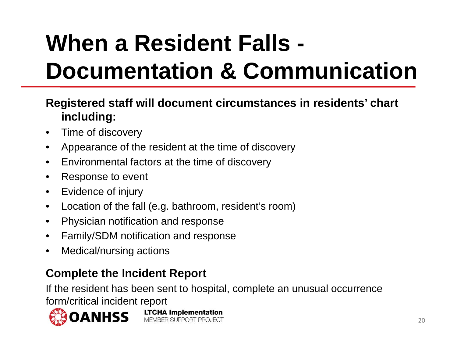### **When a Resident Falls - Documentation & Communication**

#### **Registered staff will document circumstances in residents' chart including:**

- $\bullet$ Time of discovery
- •Appearance of the resident at the time of discovery
- •Environmental factors at the time of discovery
- •Response to event
- $\bullet$ Evidence of injury
- $\bullet$ Location of the fall (e.g. bathroom, resident's room)

**LTCHA Implementation** MEMBER SUPPORT PROJECT

- $\bullet$ Physician notification and response
- •Family/SDM notification and response
- $\bullet$ Medical/nursing actions

#### **Complete the Incident Report**

If the resident has been sent to hospital, complete an unusual occurrence form/critical incident report



20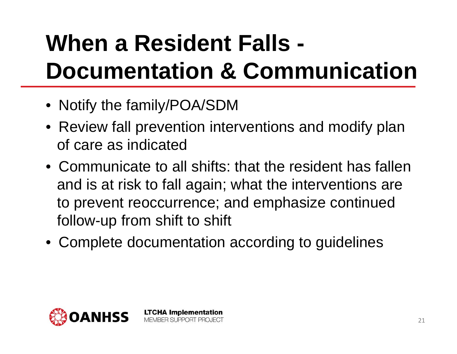### **When a Resident Falls - Documentation & Communication**

- Notify the family/POA/SDM
- Review fall prevention interventions and modify plan of care as indicated
- Communicate to all shifts: that the resident has fallen and is at risk to fall again; what the interventions are to prevent reoccurrence; and emphasize continued follow-up from shift to shift
- Complete documentation according to guidelines

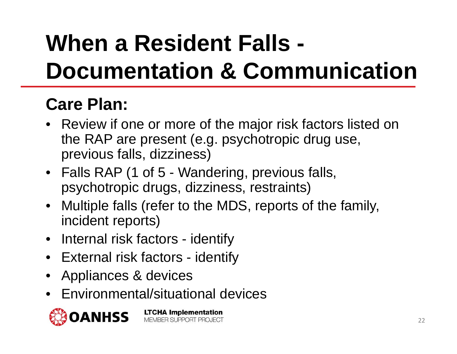### **When a Resident Falls - Documentation & Communication**

#### **Care Plan:**

- Review if one or more of the major risk factors listed on the RAP are present (e.g. psychotropic drug use, previous falls, dizziness)
- Falls RAP (1 of 5 Wandering, previous falls, psychotropic drugs, dizziness, restraints)
- Multiple falls (refer to the MDS, reports of the family, incident reports)
- Internal risk factors identify
- External risk factors identify
- •Appliances & devices
- •Environmental/situational devices

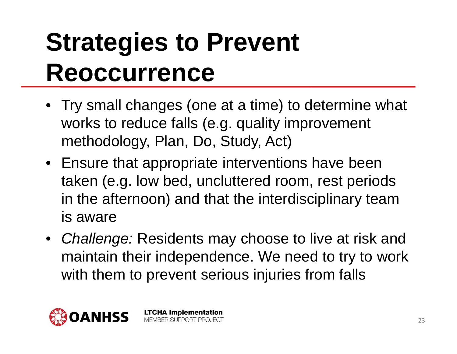### **Strategies to Prevent Reoccurrence**

- Try small changes (one at a time) to determine what works to reduce falls (e.g. quality improvement methodology, Plan, Do, Study, Act)
- Ensure that appropriate interventions have been taken (e.g. low bed, uncluttered room, rest periods in the afternoon) and that the interdisciplinary team is aware
- *Challenge:* Residents may choose to live at risk and maintain their independence. We need to try to work with them to prevent serious injuries from falls

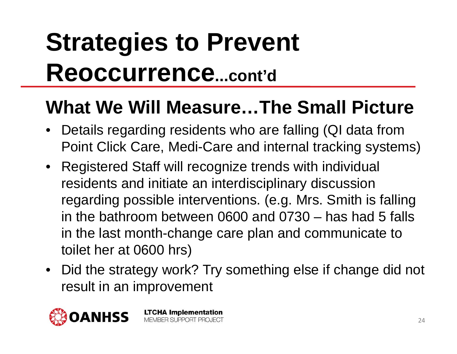### **Strategies to Prevent Reoccurrence...cont'd**

#### **What We Will Measure…The Small Picture**

- Details regarding residents who are falling (QI data from Point Click Care, Medi-Care and internal tracking systems)
- Registered Staff will recognize trends with individual residents and initiate an interdisciplinary discussion regarding possible interventions. (e.g. Mrs. Smith is falling in the bathroom between 0600 and 0730 – has had 5 falls in the last month-change care plan and communicate to toilet her at 0600 hrs)
- Did the strategy work? Try something else if change did not result in an improvement

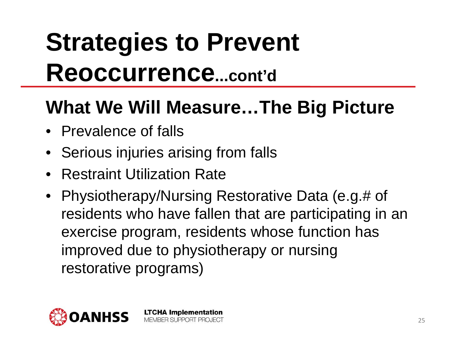### **Strategies to Prevent Reoccurrence...cont'd**

#### **What We Will Measure…The Big Picture**

- Prevalence of falls
- Serious injuries arising from falls
- Restraint Utilization Rate
- Physiotherapy/Nursing Restorative Data (e.g.# of residents who have fallen that are participating in an exercise program, residents whose function has improved due to physiotherapy or nursing restorative programs)